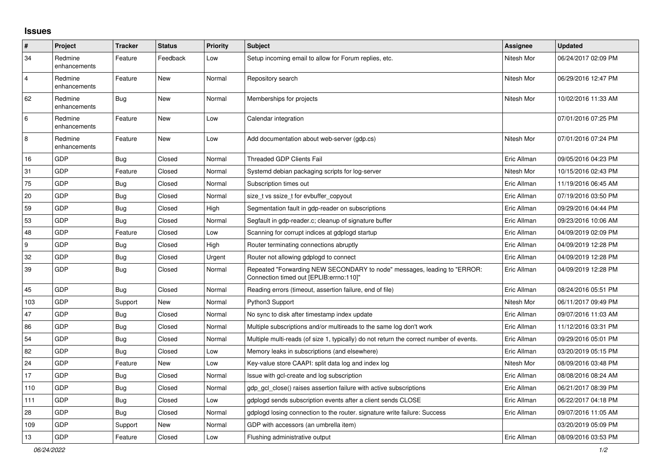## **Issues**

| $\vert$ #      | Project                 | <b>Tracker</b> | <b>Status</b> | <b>Priority</b> | <b>Subject</b>                                                                                                      | <b>Assignee</b> | <b>Updated</b>      |
|----------------|-------------------------|----------------|---------------|-----------------|---------------------------------------------------------------------------------------------------------------------|-----------------|---------------------|
| 34             | Redmine<br>enhancements | Feature        | Feedback      | Low             | Setup incoming email to allow for Forum replies, etc.                                                               | Nitesh Mor      | 06/24/2017 02:09 PM |
| $\overline{4}$ | Redmine<br>enhancements | Feature        | New           | Normal          | Repository search                                                                                                   | Nitesh Mor      | 06/29/2016 12:47 PM |
| 62             | Redmine<br>enhancements | <b>Bug</b>     | <b>New</b>    | Normal          | Memberships for projects                                                                                            | Nitesh Mor      | 10/02/2016 11:33 AM |
| 6              | Redmine<br>enhancements | Feature        | New           | Low             | Calendar integration                                                                                                |                 | 07/01/2016 07:25 PM |
| $\,8\,$        | Redmine<br>enhancements | Feature        | New           | Low             | Add documentation about web-server (gdp.cs)                                                                         | Nitesh Mor      | 07/01/2016 07:24 PM |
| 16             | GDP                     | Bug            | Closed        | Normal          | <b>Threaded GDP Clients Fail</b>                                                                                    | Eric Allman     | 09/05/2016 04:23 PM |
| 31             | GDP                     | Feature        | Closed        | Normal          | Systemd debian packaging scripts for log-server                                                                     | Nitesh Mor      | 10/15/2016 02:43 PM |
| 75             | GDP                     | <b>Bug</b>     | Closed        | Normal          | Subscription times out                                                                                              | Eric Allman     | 11/19/2016 06:45 AM |
| 20             | GDP                     | <b>Bug</b>     | Closed        | Normal          | size_t vs ssize_t for evbuffer_copyout                                                                              | Eric Allman     | 07/19/2016 03:50 PM |
| 59             | <b>GDP</b>              | Bug            | Closed        | High            | Segmentation fault in gdp-reader on subscriptions                                                                   | Eric Allman     | 09/29/2016 04:44 PM |
| 53             | GDP                     | <b>Bug</b>     | Closed        | Normal          | Segfault in gdp-reader.c; cleanup of signature buffer                                                               | Eric Allman     | 09/23/2016 10:06 AM |
| 48             | GDP                     | Feature        | Closed        | Low             | Scanning for corrupt indices at gdplogd startup                                                                     | Eric Allman     | 04/09/2019 02:09 PM |
| 9              | GDP                     | Bug            | Closed        | High            | Router terminating connections abruptly                                                                             | Eric Allman     | 04/09/2019 12:28 PM |
| $32\,$         | GDP                     | <b>Bug</b>     | Closed        | Urgent          | Router not allowing gdplogd to connect                                                                              | Eric Allman     | 04/09/2019 12:28 PM |
| 39             | GDP                     | Bug            | Closed        | Normal          | Repeated "Forwarding NEW SECONDARY to node" messages, leading to "ERROR:<br>Connection timed out [EPLIB:errno:110]" | Eric Allman     | 04/09/2019 12:28 PM |
| 45             | GDP                     | Bug            | Closed        | Normal          | Reading errors (timeout, assertion failure, end of file)                                                            | Eric Allman     | 08/24/2016 05:51 PM |
| 103            | GDP                     | Support        | New           | Normal          | Python3 Support                                                                                                     | Nitesh Mor      | 06/11/2017 09:49 PM |
| 47             | GDP                     | <b>Bug</b>     | Closed        | Normal          | No sync to disk after timestamp index update                                                                        | Eric Allman     | 09/07/2016 11:03 AM |
| 86             | GDP                     | <b>Bug</b>     | Closed        | Normal          | Multiple subscriptions and/or multireads to the same log don't work                                                 | Eric Allman     | 11/12/2016 03:31 PM |
| 54             | GDP                     | Bug            | Closed        | Normal          | Multiple multi-reads (of size 1, typically) do not return the correct number of events.                             | Eric Allman     | 09/29/2016 05:01 PM |
| 82             | GDP                     | Bug            | Closed        | Low             | Memory leaks in subscriptions (and elsewhere)                                                                       | Eric Allman     | 03/20/2019 05:15 PM |
| 24             | GDP                     | Feature        | New           | Low             | Key-value store CAAPI: split data log and index log                                                                 | Nitesh Mor      | 08/09/2016 03:48 PM |
| 17             | GDP                     | Bug            | Closed        | Normal          | Issue with gcl-create and log subscription                                                                          | Eric Allman     | 08/08/2016 08:24 AM |
| 110            | GDP                     | <b>Bug</b>     | Closed        | Normal          | gdp gcl close() raises assertion failure with active subscriptions                                                  | Eric Allman     | 06/21/2017 08:39 PM |
| 111            | GDP                     | <b>Bug</b>     | Closed        | Low             | gdplogd sends subscription events after a client sends CLOSE                                                        | Eric Allman     | 06/22/2017 04:18 PM |
| 28             | GDP                     | Bug            | Closed        | Normal          | gdplogd losing connection to the router. signature write failure: Success                                           | Eric Allman     | 09/07/2016 11:05 AM |
| 109            | GDP                     | Support        | New           | Normal          | GDP with accessors (an umbrella item)                                                                               |                 | 03/20/2019 05:09 PM |
| 13             | GDP                     | Feature        | Closed        | Low             | Flushing administrative output                                                                                      | Eric Allman     | 08/09/2016 03:53 PM |